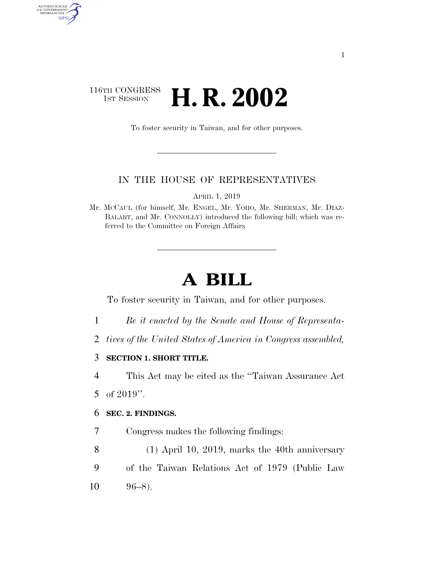## 116TH CONGRESS<br>1st Session H. R. 2002

To foster security in Taiwan, and for other purposes.

## IN THE HOUSE OF REPRESENTATIVES

APRIL 1, 2019

Mr. MCCAUL (for himself, Mr. ENGEL, Mr. YOHO, Mr. SHERMAN, Mr. DIAZ-BALART, and Mr. CONNOLLY) introduced the following bill; which was referred to the Committee on Foreign Affairs

## **A BILL**

To foster security in Taiwan, and for other purposes.

- 1 *Be it enacted by the Senate and House of Representa-*
- 2 *tives of the United States of America in Congress assembled,*
- 3 **SECTION 1. SHORT TITLE.**
- 4 This Act may be cited as the ''Taiwan Assurance Act
- 5 of 2019''.

AUTHENTICATED<br>U.S. GOVERNMENT<br>INFORMATION

GPO

## 6 **SEC. 2. FINDINGS.**

- 7 Congress makes the following findings:
- 8 (1) April 10, 2019, marks the 40th anniversary 9 of the Taiwan Relations Act of 1979 (Public Law
- $10 \t 96-8$ .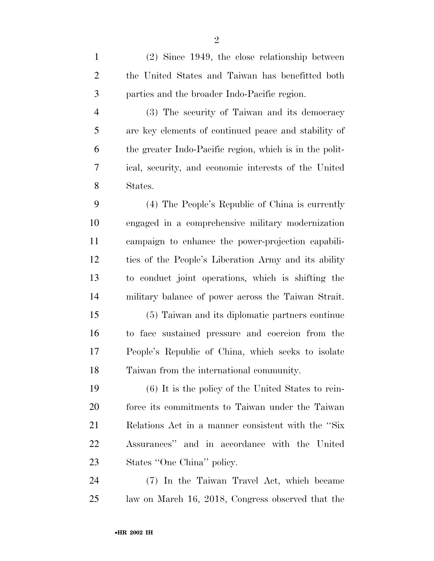(2) Since 1949, the close relationship between the United States and Taiwan has benefitted both parties and the broader Indo-Pacific region.

 (3) The security of Taiwan and its democracy are key elements of continued peace and stability of the greater Indo-Pacific region, which is in the polit- ical, security, and economic interests of the United States.

 (4) The People's Republic of China is currently engaged in a comprehensive military modernization campaign to enhance the power-projection capabili- ties of the People's Liberation Army and its ability to conduct joint operations, which is shifting the military balance of power across the Taiwan Strait.

 (5) Taiwan and its diplomatic partners continue to face sustained pressure and coercion from the People's Republic of China, which seeks to isolate Taiwan from the international community.

 (6) It is the policy of the United States to rein- force its commitments to Taiwan under the Taiwan Relations Act in a manner consistent with the ''Six Assurances'' and in accordance with the United States ''One China'' policy.

 (7) In the Taiwan Travel Act, which became law on March 16, 2018, Congress observed that the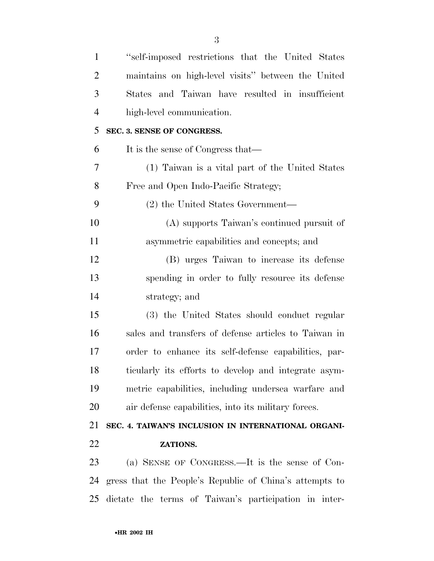| $\mathbf{1}$   | "self-imposed restrictions that the United States"      |
|----------------|---------------------------------------------------------|
| $\overline{2}$ | maintains on high-level visits" between the United      |
| 3              | States and Taiwan have resulted in insufficient         |
| $\overline{4}$ | high-level communication.                               |
| 5              | SEC. 3. SENSE OF CONGRESS.                              |
| 6              | It is the sense of Congress that—                       |
| 7              | (1) Taiwan is a vital part of the United States         |
| 8              | Free and Open Indo-Pacific Strategy;                    |
| 9              | (2) the United States Government—                       |
| 10             | (A) supports Taiwan's continued pursuit of              |
| 11             | asymmetric capabilities and concepts; and               |
| 12             | (B) urges Taiwan to increase its defense                |
| 13             | spending in order to fully resource its defense         |
| 14             | strategy; and                                           |
| 15             | (3) the United States should conduct regular            |
| 16             | sales and transfers of defense articles to Taiwan in    |
| 17             | order to enhance its self-defense capabilities, par-    |
| 18             | ticularly its efforts to develop and integrate asym-    |
| 19             | metric capabilities, including undersea warfare and     |
| 20             | air defense capabilities, into its military forces.     |
| 21             | SEC. 4. TAIWAN'S INCLUSION IN INTERNATIONAL ORGANI-     |
| 22             | ZATIONS.                                                |
| 23             | (a) SENSE OF CONGRESS.—It is the sense of Con-          |
| 24             | gress that the People's Republic of China's attempts to |
| 25             | dictate the terms of Taiwan's participation in inter-   |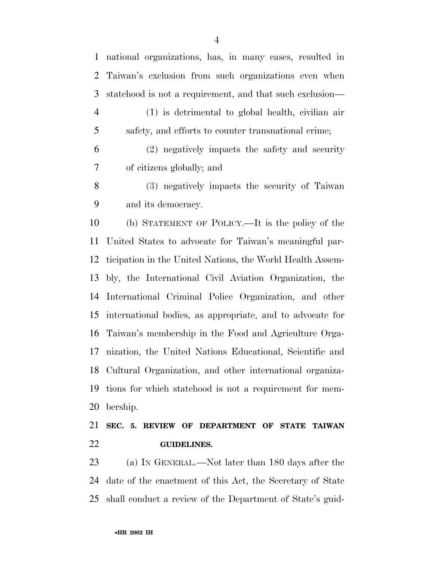(1) is detrimental to global health, civilian air safety, and efforts to counter transnational crime; (2) negatively impacts the safety and security of citizens globally; and (3) negatively impacts the security of Taiwan and its democracy. (b) STATEMENT OF POLICY.—It is the policy of the United States to advocate for Taiwan's meaningful par- ticipation in the United Nations, the World Health Assem- bly, the International Civil Aviation Organization, the International Criminal Police Organization, and other international bodies, as appropriate, and to advocate for Taiwan's membership in the Food and Agriculture Orga- nization, the United Nations Educational, Scientific and Cultural Organization, and other international organiza- tions for which statehood is not a requirement for mem- bership. **SEC. 5. REVIEW OF DEPARTMENT OF STATE TAIWAN GUIDELINES.** 

 (a) IN GENERAL.—Not later than 180 days after the date of the enactment of this Act, the Secretary of State shall conduct a review of the Department of State's guid-

national organizations, has, in many cases, resulted in

Taiwan's exclusion from such organizations even when

statehood is not a requirement, and that such exclusion—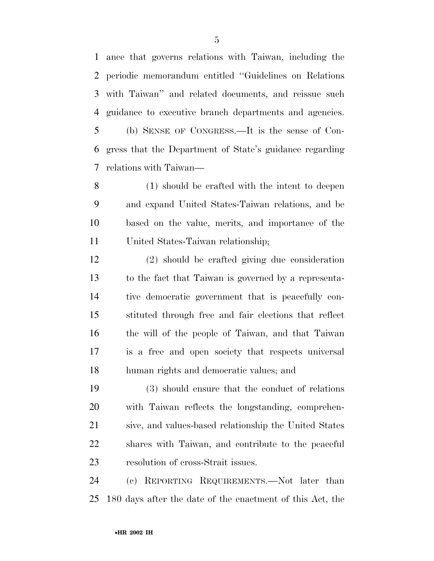ance that governs relations with Taiwan, including the periodic memorandum entitled ''Guidelines on Relations with Taiwan'' and related documents, and reissue such guidance to executive branch departments and agencies. (b) SENSE OF CONGRESS.—It is the sense of Con- gress that the Department of State's guidance regarding relations with Taiwan—

 (1) should be crafted with the intent to deepen and expand United States-Taiwan relations, and be based on the value, merits, and importance of the United States-Taiwan relationship;

 (2) should be crafted giving due consideration to the fact that Taiwan is governed by a representa- tive democratic government that is peacefully con- stituted through free and fair elections that reflect the will of the people of Taiwan, and that Taiwan is a free and open society that respects universal human rights and democratic values; and

 (3) should ensure that the conduct of relations with Taiwan reflects the longstanding, comprehen- sive, and values-based relationship the United States shares with Taiwan, and contribute to the peaceful resolution of cross-Strait issues.

 (c) REPORTING REQUIREMENTS.—Not later than 180 days after the date of the enactment of this Act, the